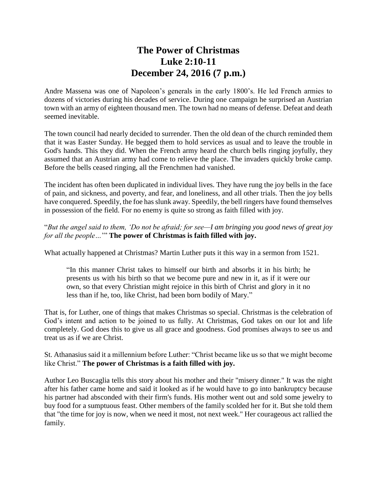## **The Power of Christmas Luke 2:10-11 December 24, 2016 (7 p.m.)**

Andre Massena was one of Napoleon's generals in the early 1800's. He led French armies to dozens of victories during his decades of service. During one campaign he surprised an Austrian town with an army of eighteen thousand men. The town had no means of defense. Defeat and death seemed inevitable.

The town council had nearly decided to surrender. Then the old dean of the church reminded them that it was Easter Sunday. He begged them to hold services as usual and to leave the trouble in God's hands. This they did. When the French army heard the church bells ringing joyfully, they assumed that an Austrian army had come to relieve the place. The invaders quickly broke camp. Before the bells ceased ringing, all the Frenchmen had vanished.

The incident has often been duplicated in individual lives. They have rung the joy bells in the face of pain, and sickness, and poverty, and fear, and loneliness, and all other trials. Then the joy bells have conquered. Speedily, the foe has slunk away. Speedily, the bell ringers have found themselves in possession of the field. For no enemy is quite so strong as faith filled with joy.

"*But the angel said to them, 'Do not be afraid; for see—I am bringing you good news of great joy for all the people…*'" **The power of Christmas is faith filled with joy.**

What actually happened at Christmas? Martin Luther puts it this way in a sermon from 1521.

"In this manner Christ takes to himself our birth and absorbs it in his birth; he presents us with his birth so that we become pure and new in it, as if it were our own, so that every Christian might rejoice in this birth of Christ and glory in it no less than if he, too, like Christ, had been born bodily of Mary."

That is, for Luther, one of things that makes Christmas so special. Christmas is the celebration of God's intent and action to be joined to us fully. At Christmas, God takes on our lot and life completely. God does this to give us all grace and goodness. God promises always to see us and treat us as if we are Christ.

St. Athanasius said it a millennium before Luther: "Christ became like us so that we might become like Christ." **The power of Christmas is a faith filled with joy.**

Author Leo Buscaglia tells this story about his mother and their "misery dinner." It was the night after his father came home and said it looked as if he would have to go into bankruptcy because his partner had absconded with their firm's funds. His mother went out and sold some jewelry to buy food for a sumptuous feast. Other members of the family scolded her for it. But she told them that "the time for joy is now, when we need it most, not next week." Her courageous act rallied the family.